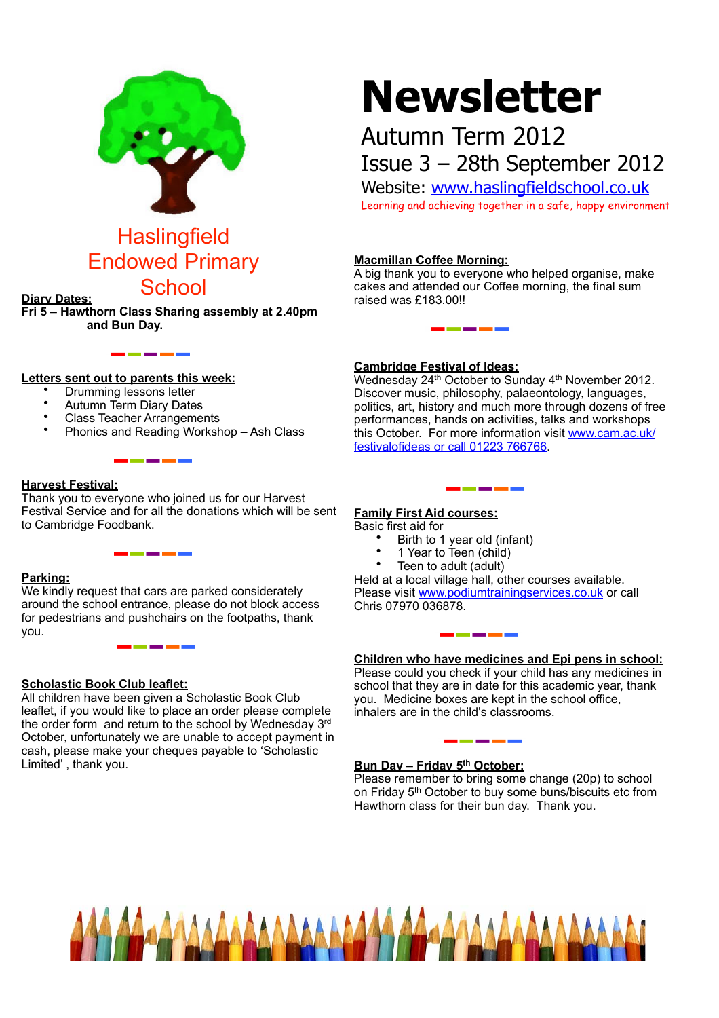

# Endowed Primary School **Diary Dates:**

**Fri 5 – Hawthorn Class Sharing assembly at 2.40pm and Bun Day.**

# **Newsletter**

# Autumn Term 2012 Issue 3 – 28th September 2012

Website: [www.haslingfieldschool.co.uk](http://www.haslingfieldschool.co.uk) Learning and achieving together in a safe, happy environment

### **Macmillan Coffee Morning:**

A big thank you to everyone who helped organise, make cakes and attended our Coffee morning, the final sum raised was £183.00!!

#### **Letters sent out to parents this week:**

- Drumming lessons letter
- Autumn Term Diary Dates
- Class Teacher Arrangements
- Phonics and Reading Workshop Ash Class

\_\_\_\_

\_\_\_\_

#### **Harvest Festival:**

Thank you to everyone who joined us for our Harvest Festival Service and for all the donations which will be sent to Cambridge Foodbank.

#### **Parking:**

We kindly request that cars are parked considerately around the school entrance, please do not block access for pedestrians and pushchairs on the footpaths, thank you.

\_\_\_\_\_\_

#### **Scholastic Book Club leaflet:**

All children have been given a Scholastic Book Club leaflet, if you would like to place an order please complete the order form and return to the school by Wednesday 3rd October, unfortunately we are unable to accept payment in cash, please make your cheques payable to 'Scholastic Limited' , thank you.

#### **Cambridge Festival of Ideas:**

Wednesday 24<sup>th</sup> October to Sunday 4<sup>th</sup> November 2012. Discover music, philosophy, palaeontology, languages, politics, art, history and much more through dozens of free performances, hands on activities, talks and workshops this October. For more information visit [www.cam.ac.uk/](http://livepage.apple.com/) [festivalofideas or call 01223 766766.](http://livepage.apple.com/)

## **Family First Aid courses:**

#### Basic first aid for

- Birth to 1 year old (infant)
- 1 Year to Teen (child)
- Teen to adult (adult)

Held at a local village hall, other courses available. Please visit [www.podiumtrainingservices.co.uk](http://www.podiumtrainingservices.co.uk) or call Chris 07970 036878.

#### **Children who have medicines and Epi pens in school:**

Please could you check if your child has any medicines in school that they are in date for this academic year, thank you. Medicine boxes are kept in the school office, inhalers are in the child's classrooms.

#### **Bun Day – Friday 5<sup>th</sup> October:**

. . .

Please remember to bring some change (20p) to school on Friday 5<sup>th</sup> October to buy some buns/biscuits etc from Hawthorn class for their bun day. Thank you.